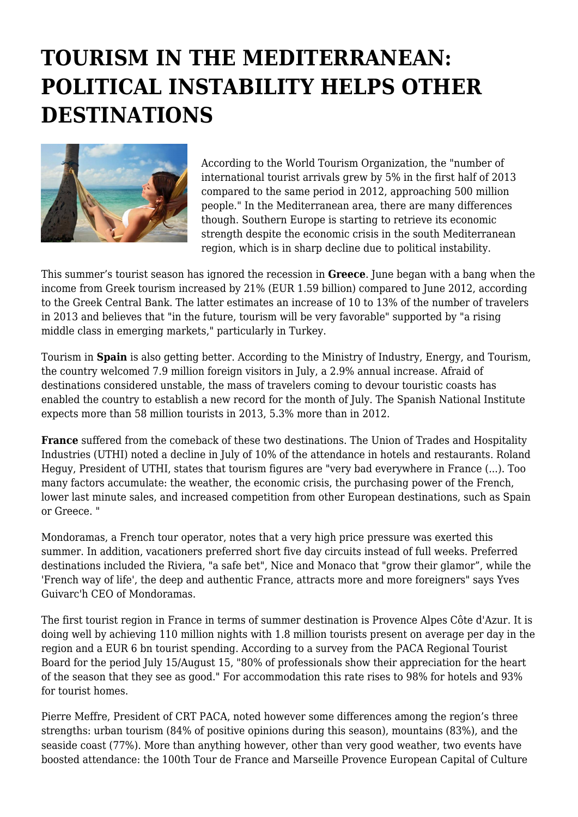## **TOURISM IN THE MEDITERRANEAN: POLITICAL INSTABILITY HELPS OTHER DESTINATIONS**



According to the World Tourism Organization, the "number of international tourist arrivals grew by 5% in the first half of 2013 compared to the same period in 2012, approaching 500 million people." In the Mediterranean area, there are many differences though. Southern Europe is starting to retrieve its economic strength despite the economic crisis in the south Mediterranean region, which is in sharp decline due to political instability.

This summer's tourist season has ignored the recession in **Greece**. June began with a bang when the income from Greek tourism increased by 21% (EUR 1.59 billion) compared to June 2012, according to the Greek Central Bank. The latter estimates an increase of 10 to 13% of the number of travelers in 2013 and believes that "in the future, tourism will be very favorable" supported by "a rising middle class in emerging markets," particularly in Turkey.

Tourism in **Spain** is also getting better. According to the Ministry of Industry, Energy, and Tourism, the country welcomed 7.9 million foreign visitors in July, a 2.9% annual increase. Afraid of destinations considered unstable, the mass of travelers coming to devour touristic coasts has enabled the country to establish a new record for the month of July. The Spanish National Institute expects more than 58 million tourists in 2013, 5.3% more than in 2012.

**France** suffered from the comeback of these two destinations. The Union of Trades and Hospitality Industries (UTHI) noted a decline in July of 10% of the attendance in hotels and restaurants. Roland Heguy, President of UTHI, states that tourism figures are "very bad everywhere in France (...). Too many factors accumulate: the weather, the economic crisis, the purchasing power of the French, lower last minute sales, and increased competition from other European destinations, such as Spain or Greece. "

Mondoramas, a French tour operator, notes that a very high price pressure was exerted this summer. In addition, vacationers preferred short five day circuits instead of full weeks. Preferred destinations included the Riviera, "a safe bet", Nice and Monaco that "grow their glamor", while the 'French way of life', the deep and authentic France, attracts more and more foreigners" says Yves Guivarc'h CEO of Mondoramas.

The first tourist region in France in terms of summer destination is Provence Alpes Côte d'Azur. It is doing well by achieving 110 million nights with 1.8 million tourists present on average per day in the region and a EUR 6 bn tourist spending. According to a survey from the PACA Regional Tourist Board for the period July 15/August 15, "80% of professionals show their appreciation for the heart of the season that they see as good." For accommodation this rate rises to 98% for hotels and 93% for tourist homes.

Pierre Meffre, President of CRT PACA, noted however some differences among the region's three strengths: urban tourism (84% of positive opinions during this season), mountains (83%), and the seaside coast (77%). More than anything however, other than very good weather, two events have boosted attendance: the 100th Tour de France and Marseille Provence European Capital of Culture